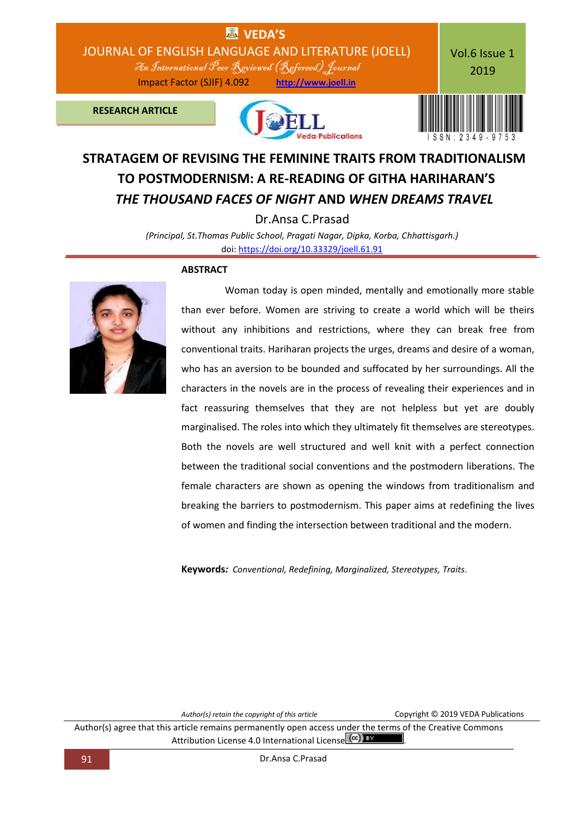

# **STRATAGEM OF REVISING THE FEMININE TRAITS FROM TRADITIONALISM TO POSTMODERNISM: A RE-READING OF GITHA HARIHARAN'S**  *THE THOUSAND FACES OF NIGHT* **AND** *WHEN DREAMS TRAVEL*

Dr.Ansa C.Prasad

*(Principal, St.Thomas Public School, Pragati Nagar, Dipka, Korba, Chhattisgarh.)* doi: [https://doi.org/10.33329/joell.61.91](http://joell.in/2019/02/11/doi-https-doi-org-10-33329-joell-61-91/)

#### **ABSTRACT**



 Woman today is open minded, mentally and emotionally more stable than ever before. Women are striving to create a world which will be theirs without any inhibitions and restrictions, where they can break free from conventional traits. Hariharan projects the urges, dreams and desire of a woman, who has an aversion to be bounded and suffocated by her surroundings. All the characters in the novels are in the process of revealing their experiences and in fact reassuring themselves that they are not helpless but yet are doubly marginalised. The roles into which they ultimately fit themselves are stereotypes. Both the novels are well structured and well knit with a perfect connection between the traditional social conventions and the postmodern liberations. The female characters are shown as opening the windows from traditionalism and breaking the barriers to postmodernism. This paper aims at redefining the lives of women and finding the intersection between traditional and the modern.

**Keywords***: Conventional, Redefining, Marginalized, Stereotypes, Traits*.

*Author(s) retain the copyright of this article* Copyright © 2019 VEDA Publications

Author(s) agree that this article remains permanently open access under the terms of the Creative Commons Attribution License 4.0 International License  $\left[\frac{cc}{c}\right]$  by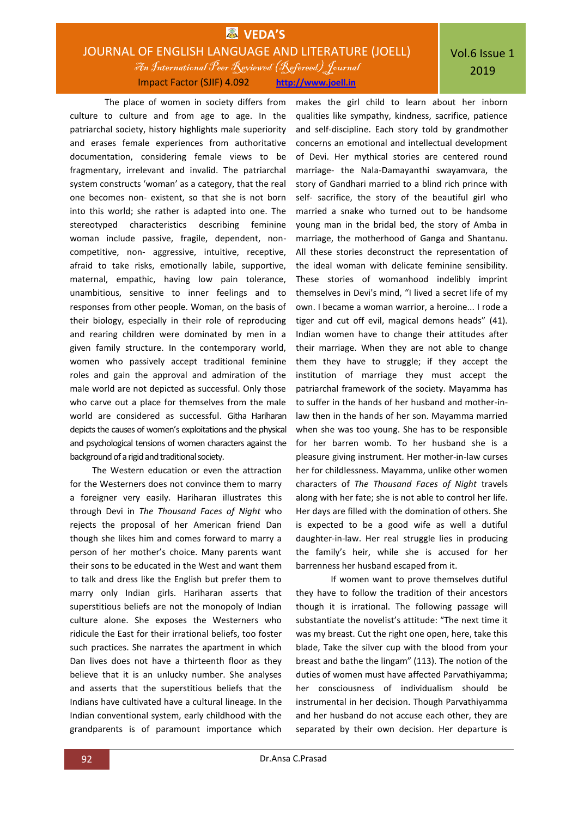## **VEDA'S** JOURNAL OF ENGLISH LANGUAGE AND LITERATURE (JOELL) An International Peer Reviewed (Refereed)Journal Impact Factor (SJIF) 4.092 **http://www.joell.in**

The place of women in society differs from culture to culture and from age to age. In the patriarchal society, history highlights male superiority and erases female experiences from authoritative documentation, considering female views to be fragmentary, irrelevant and invalid. The patriarchal system constructs 'woman' as a category, that the real one becomes non- existent, so that she is not born into this world; she rather is adapted into one. The stereotyped characteristics describing feminine woman include passive, fragile, dependent, noncompetitive, non- aggressive, intuitive, receptive, afraid to take risks, emotionally labile, supportive, maternal, empathic, having low pain tolerance, unambitious, sensitive to inner feelings and to responses from other people. Woman, on the basis of their biology, especially in their role of reproducing and rearing children were dominated by men in a given family structure. In the contemporary world, women who passively accept traditional feminine roles and gain the approval and admiration of the male world are not depicted as successful. Only those who carve out a place for themselves from the male world are considered as successful. Githa Hariharan depicts the causes of women's exploitations and the physical and psychological tensions of women characters against the background of a rigid and traditional society.

The Western education or even the attraction for the Westerners does not convince them to marry a foreigner very easily. Hariharan illustrates this through Devi in *The Thousand Faces of Night* who rejects the proposal of her American friend Dan though she likes him and comes forward to marry a person of her mother's choice. Many parents want their sons to be educated in the West and want them to talk and dress like the English but prefer them to marry only Indian girls. Hariharan asserts that superstitious beliefs are not the monopoly of Indian culture alone. She exposes the Westerners who ridicule the East for their irrational beliefs, too foster such practices. She narrates the apartment in which Dan lives does not have a thirteenth floor as they believe that it is an unlucky number. She analyses and asserts that the superstitious beliefs that the Indians have cultivated have a cultural lineage. In the Indian conventional system, early childhood with the grandparents is of paramount importance which

makes the girl child to learn about her inborn qualities like sympathy, kindness, sacrifice, patience and self-discipline. Each story told by grandmother concerns an emotional and intellectual development of Devi. Her mythical stories are centered round marriage- the Nala-Damayanthi swayamvara, the story of Gandhari married to a blind rich prince with self- sacrifice, the story of the beautiful girl who married a snake who turned out to be handsome young man in the bridal bed, the story of Amba in marriage, the motherhood of Ganga and Shantanu. All these stories deconstruct the representation of the ideal woman with delicate feminine sensibility. These stories of womanhood indelibly imprint themselves in Devi's mind, "I lived a secret life of my own. I became a woman warrior, a heroine... I rode a tiger and cut off evil, magical demons heads" (41). Indian women have to change their attitudes after their marriage. When they are not able to change them they have to struggle; if they accept the institution of marriage they must accept the patriarchal framework of the society. Mayamma has to suffer in the hands of her husband and mother-inlaw then in the hands of her son. Mayamma married when she was too young. She has to be responsible for her barren womb. To her husband she is a pleasure giving instrument. Her mother-in-law curses her for childlessness. Mayamma, unlike other women characters of *The Thousand Faces of Night* travels along with her fate; she is not able to control her life. Her days are filled with the domination of others. She is expected to be a good wife as well a dutiful daughter-in-law. Her real struggle lies in producing the family's heir, while she is accused for her barrenness her husband escaped from it.

If women want to prove themselves dutiful they have to follow the tradition of their ancestors though it is irrational. The following passage will substantiate the novelist's attitude: "The next time it was my breast. Cut the right one open, here, take this blade, Take the silver cup with the blood from your breast and bathe the lingam" (113). The notion of the duties of women must have affected Parvathiyamma; her consciousness of individualism should be instrumental in her decision. Though Parvathiyamma and her husband do not accuse each other, they are separated by their own decision. Her departure is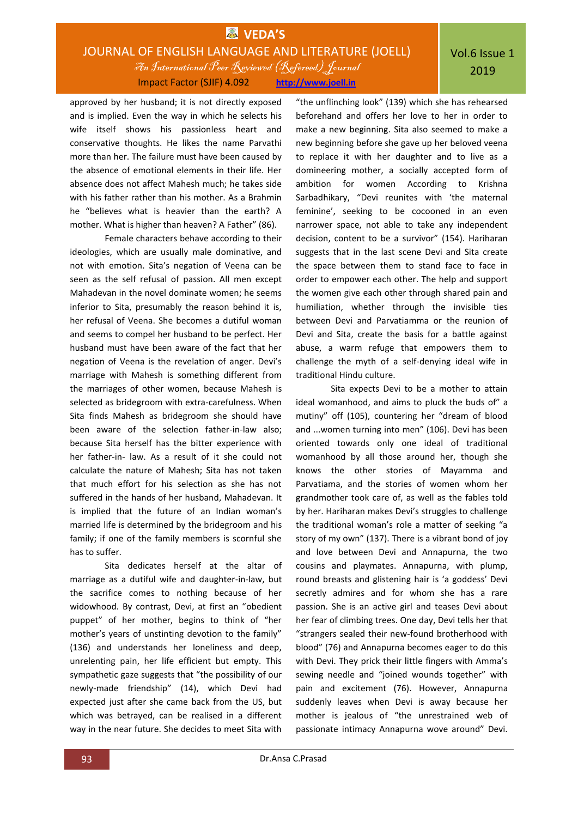## **EX** VEDA'S JOURNAL OF ENGLISH LANGUAGE AND LITERATURE (JOELL) An International Peer Reviewed (Refereed)Journal Impact Factor (SJIF) 4.092 **http://www.joell.in**

approved by her husband; it is not directly exposed and is implied. Even the way in which he selects his wife itself shows his passionless heart and conservative thoughts. He likes the name Parvathi more than her. The failure must have been caused by the absence of emotional elements in their life. Her absence does not affect Mahesh much; he takes side with his father rather than his mother. As a Brahmin he "believes what is heavier than the earth? A mother. What is higher than heaven? A Father" (86).

Female characters behave according to their ideologies, which are usually male dominative, and not with emotion. Sita's negation of Veena can be seen as the self refusal of passion. All men except Mahadevan in the novel dominate women; he seems inferior to Sita, presumably the reason behind it is, her refusal of Veena. She becomes a dutiful woman and seems to compel her husband to be perfect. Her husband must have been aware of the fact that her negation of Veena is the revelation of anger. Devi's marriage with Mahesh is something different from the marriages of other women, because Mahesh is selected as bridegroom with extra-carefulness. When Sita finds Mahesh as bridegroom she should have been aware of the selection father-in-law also; because Sita herself has the bitter experience with her father-in- law. As a result of it she could not calculate the nature of Mahesh; Sita has not taken that much effort for his selection as she has not suffered in the hands of her husband, Mahadevan. It is implied that the future of an Indian woman's married life is determined by the bridegroom and his family; if one of the family members is scornful she has to suffer.

Sita dedicates herself at the altar of marriage as a dutiful wife and daughter-in-law, but the sacrifice comes to nothing because of her widowhood. By contrast, Devi, at first an "obedient puppet" of her mother, begins to think of "her mother's years of unstinting devotion to the family" (136) and understands her loneliness and deep, unrelenting pain, her life efficient but empty. This sympathetic gaze suggests that "the possibility of our newly-made friendship" (14), which Devi had expected just after she came back from the US, but which was betrayed, can be realised in a different way in the near future. She decides to meet Sita with

"the unflinching look" (139) which she has rehearsed beforehand and offers her love to her in order to make a new beginning. Sita also seemed to make a new beginning before she gave up her beloved veena to replace it with her daughter and to live as a domineering mother, a socially accepted form of ambition for women According to Krishna Sarbadhikary, "Devi reunites with 'the maternal feminine', seeking to be cocooned in an even narrower space, not able to take any independent decision, content to be a survivor" (154). Hariharan suggests that in the last scene Devi and Sita create the space between them to stand face to face in order to empower each other. The help and support the women give each other through shared pain and humiliation, whether through the invisible ties between Devi and Parvatiamma or the reunion of Devi and Sita, create the basis for a battle against abuse, a warm refuge that empowers them to challenge the myth of a self-denying ideal wife in traditional Hindu culture.

Sita expects Devi to be a mother to attain ideal womanhood, and aims to pluck the buds of" a mutiny" off (105), countering her "dream of blood and ...women turning into men" (106). Devi has been oriented towards only one ideal of traditional womanhood by all those around her, though she knows the other stories of Mayamma and Parvatiama, and the stories of women whom her grandmother took care of, as well as the fables told by her. Hariharan makes Devi's struggles to challenge the traditional woman's role a matter of seeking "a story of my own" (137). There is a vibrant bond of joy and love between Devi and Annapurna, the two cousins and playmates. Annapurna, with plump, round breasts and glistening hair is 'a goddess' Devi secretly admires and for whom she has a rare passion. She is an active girl and teases Devi about her fear of climbing trees. One day, Devi tells her that "strangers sealed their new-found brotherhood with blood" (76) and Annapurna becomes eager to do this with Devi. They prick their little fingers with Amma's sewing needle and "joined wounds together" with pain and excitement (76). However, Annapurna suddenly leaves when Devi is away because her mother is jealous of "the unrestrained web of passionate intimacy Annapurna wove around" Devi.